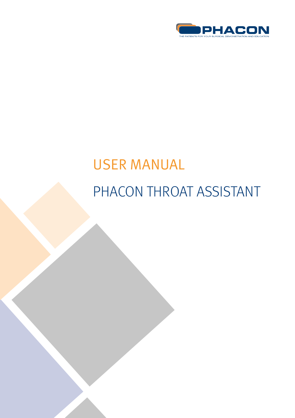

# USER MANUAL PHACON THROAT ASSISTANT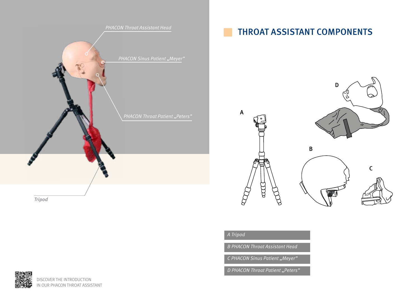

## THROAT ASSISTANT COMPONENTS

B







## A Tripod

**B PHACON Throat Assistant Head** 

C PHACON Sinus Patient "Meyer"

D PHACON Throat Patient "Peters"

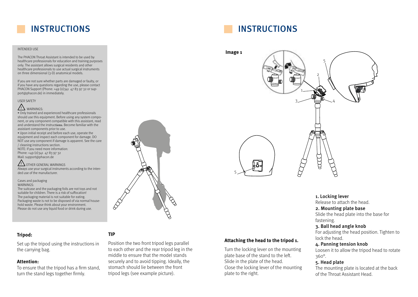## INSTRUCTIONS

#### INTENDED USE

The PHACON Throat Assistant is intended to be used by healthcare professionals for education and training purposes only. The assistant allows surgical residents and other healthcare professionals to use actual surgical instruments on three dimensional (3-D) anatomical models.

If you are not sure whether parts are damaged or faulty, or if you have any questions regarding the use, please contact PHACON Support (Phone: +49 (0)341 47 83 97 32 or support@phacon.de) in immediately.

USER SAFETY

**!** WARNINGS:

• Only trained and experienced healthcare professionals should use this equipment. Before using any system component, or any component compatible with this assistant, read and understand the instructions. Become familiar with the assistant components prior to use. • Upon initial receipt and before each use, operate the equipment and inspect each component for damage. DO NOT use any component if damage is apparent. See the care / cleaning instructions section.

NOTE: If you need more information: Phone: +49 (0) 341 47 83 97 32 Mail: support@phacon.de

#### **!** OTHER GENERAL WARNINGS Always use your surgical instruments according to the intended use of the manufacturer.

#### Cases and packaging WARNINGS:

The suitcase and the packaging foils are not toys and not suitable for children. There is a risk of suffocation! The packaging material is not suitable for eating. Packaging waste is not to be disposed of via normal household waste. Please think about your environment. Please do not use any liquid food or drink during use.

#### **Tripod:**

Set up the tripod using the instructions in the carrying bag.

#### **Attention:**

To ensure that the tripod has a firm stand, turn the stand legs together firmly.

#### **TIP**

Position the two front tripod legs parallel to each other and the rear tripod leg in the middle to ensure that the model stands securely and to avoid tipping. Ideally, the stomach should lie between the front tripod legs (see example picture).



**Attaching the head to the tripod 1.** Turn the locking lever on the mounting plate base of the stand to the left. Slide in the plate of the head.

Close the locking lever of the mounting

plate to the right.



#### 1. Locking lever

Release to attach the head.

#### 2. Mounting plate base

Slide the head plate into the base for fastening.

#### 3. Ball head angle knob

For adjusting the head position. Tighten to lock the head.

#### 4. Panning tension knob

Loosen it to allow the tripod head to rotate 360°.

#### 5. Head plate

The mounting plate is located at the back of the Throat Assistant Head.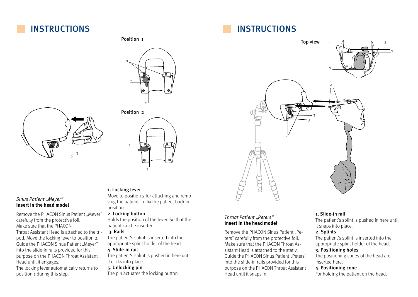## INSTRUCTIONS

#### Position 1







#### Sinus Patient "Meyer" **Insert in the head model**

Remove the PHACON Sinus Patient "Meyer" carefully from the protective foil. Make sure that the PHACON Throat Assistant Head is attached to the tripod. Move the locking lever to position 2. Guide the PHACON Sinus Patient "Meyer" into the slide-in rails provided for this purpose on the PHACON Throat Assistant Head until it engages.

The locking lever automatically returns to position 1 during this step.

### 1. Locking lever

Move to position 2 for attaching and removing the patient. To fix the patient back in position 1.

#### 2. Locking button

Holds the position of the lever. So that the patient can be inserted.

#### 3. Rails

The patient's splint is inserted into the appropriate splint holder of the head.

## 4. Slide-in rail

The patient's splint is pushed in here until it clicks into place.

## 5. Unlocking pin

The pin actuates the locking button.

# INSTRUCTIONS



### Throat Patient "Peters" **Insert in the head model**

Remove the PHACON Sinus Patient "Peters" carefully from the protective foil. Make sure that the PHACON Throat Assistant Head is attached to the stativ. Guide the PHACON Sinus Patient "Peters" into the slide-in rails provided for this purpose on the PHACON Throat Assistant Head until it snaps in.

#### 1. Slide-in rail

The patient's splint is pushed in here until it snaps into place.

### 2. Splints

The patient's splint is inserted into the appropriate splint holder of the head.

#### 3. Positioning holes

The positioning cones of the head are inserted here.

## 4. Positioning cone

For holding the patient on the head.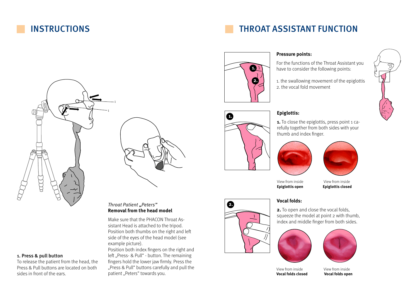## INSTRUCTIONS

# THROAT ASSISTANT FUNCTION



## **Pressure points:**

For the functions of the Throat Assistant you have to consider the following points:

1. the swallowing movement of the epiglottis 2. the vocal fold movement



### **Epiglottis:**

**1.** To close the epiglottis, press point 1 carefully together from both sides with your thumb and index finger.





View from inside View from inside **Epiglottis open Epiglottis closed**

### **Vocal folds:**

**2.** To open and close the vocal folds, squeeze the model at point 2 with thumb, index and middle finger from both sides.



View from inside View from inside **Vocal folds closed Vocal folds open**



# 1  $\overrightarrow{p}$  $\mathbf{r}$

#### 1. Press & pull button

To release the patient from the head, the Press & Pull buttons are located on both sides in front of the ears.

### Throat Patient "Peters" **Removal from the head model**

Make sure that the PHACON Throat Assistant Head is attached to the tripod. Position both thumbs on the right and left side of the eyes of the head model (see example picture).

Position both index fingers on the right and left "Press- & Pull" - button. The remaining fingers hold the lower jaw firmly. Press the "Press & Pull" buttons carefully and pull the patient "Peters" towards you.



**2.**

**2.**

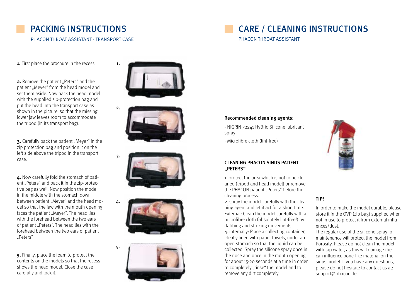## PACKING INSTRUCTIONS

PHACON THROAT ASSISTANT - TRANSPORT CASE

# CARE / CLEANING INSTRUCTIONS

PHACON THROAT ASSISTANT

**1.** First place the brochure in the recess

**2.** Remove the patient "Peters" and the patient "Meyer" from the head model and set them aside. Now pack the head model with the supplied zip-protection bag and put the head into the transport case as shown in the picture, so that the missing lower jaw leaves room to accommodate the tripod (in its transport bag).

**3.** Carefully pack the patient "Meyer" in the zip protection bag and position it on the left side above the tripod in the transport case.

**4.** Now carefully fold the stomach of patient "Peters" and pack it in the zip-protective bag as well. Now position the model in the middle with the stomach down between patient ..Mever" and the head model so that the jaw with the mouth opening faces the patient "Meyer". The head lies with the forehead between the two ears of patient "Peters". The head lies with the forehead between the two ears of patient "Peters"

**5.** Finally, place the foam to protect the contents on the models so that the recess shows the head model. Close the case carefully and lock it.



1.

2.

3.

4.









#### Recommended cleaning agents:

- NIGRIN 72241 HyBrid Silicone lubricant spray

- Microfibre cloth (lint-free)



1. protect the area which is not to be cleaned (tripod and head model) or remove the PHACON patient "Peters" before the cleaning process.

2. spray the model carefully with the cleaning agent and let it act for a short time. External: Clean the model carefully with a microfibre cloth (absolutely lint-free!) by dabbing and stroking movements. 4. internally: Place a collecting container, ideally lined with paper towels, under an open stomach so that the liquid can be collected. Spray the silicone spray once in the nose and once in the mouth opening for about 15-20 seconds at a time in order to completely "rinse" the model and to remove any dirt completely.



#### **TIP!**

In order to make the model durable, please store it in the OVP (zip bag) supplied when not in use to protect it from external influences/dust.

The regular use of the silicone spray for maintenance will protect the model from Porosity. Please do not clean the model with tap water, as this will damage the can influence bone-like material on the sinus model. If you have any questions, please do not hesitate to contact us at: support@phacon.de